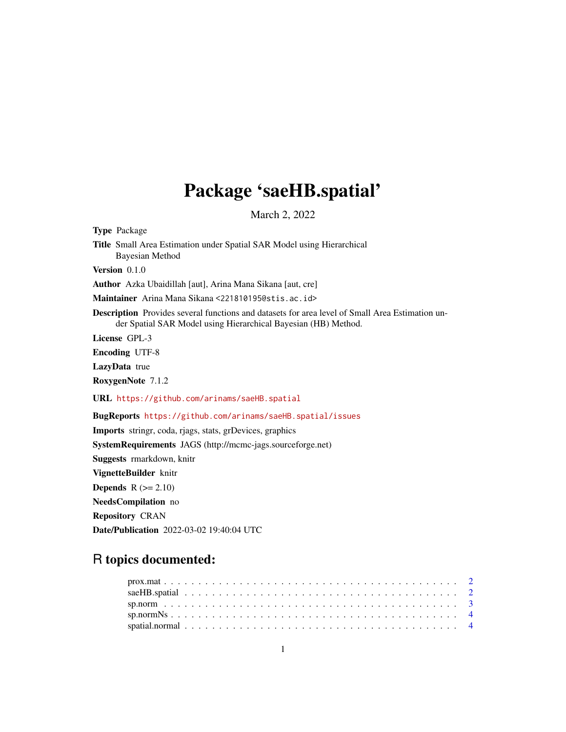## Package 'saeHB.spatial'

March 2, 2022

Type Package

Title Small Area Estimation under Spatial SAR Model using Hierarchical Bayesian Method

Version 0.1.0

Author Azka Ubaidillah [aut], Arina Mana Sikana [aut, cre]

Maintainer Arina Mana Sikana <221810195@stis.ac.id>

Description Provides several functions and datasets for area level of Small Area Estimation under Spatial SAR Model using Hierarchical Bayesian (HB) Method.

License GPL-3

Encoding UTF-8

LazyData true

RoxygenNote 7.1.2

URL <https://github.com/arinams/saeHB.spatial>

BugReports <https://github.com/arinams/saeHB.spatial/issues>

Imports stringr, coda, rjags, stats, grDevices, graphics

SystemRequirements JAGS (http://mcmc-jags.sourceforge.net)

Suggests rmarkdown, knitr

VignetteBuilder knitr

**Depends**  $R (= 2.10)$ 

NeedsCompilation no

Repository CRAN

Date/Publication 2022-03-02 19:40:04 UTC

### R topics documented: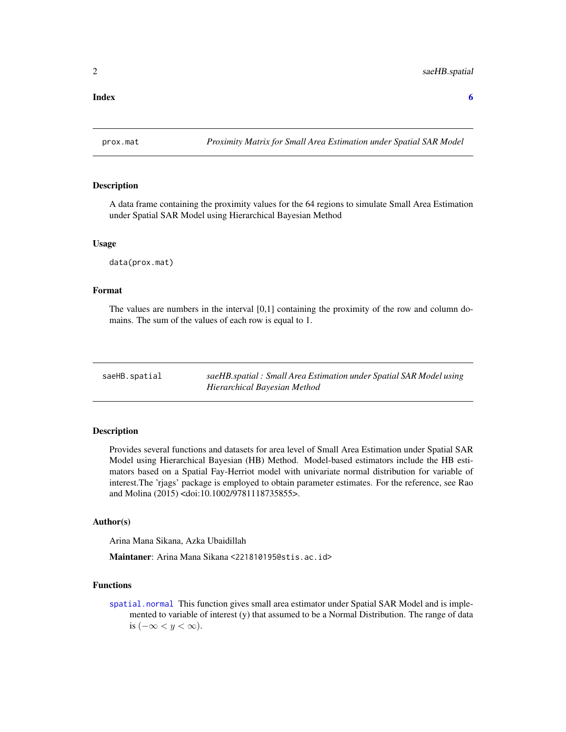#### <span id="page-1-0"></span>**Index** [6](#page-5-0) **6**

prox.mat *Proximity Matrix for Small Area Estimation under Spatial SAR Model*

#### Description

A data frame containing the proximity values for the 64 regions to simulate Small Area Estimation under Spatial SAR Model using Hierarchical Bayesian Method

#### Usage

data(prox.mat)

#### Format

The values are numbers in the interval [0,1] containing the proximity of the row and column domains. The sum of the values of each row is equal to 1.

saeHB.spatial *saeHB.spatial : Small Area Estimation under Spatial SAR Model using Hierarchical Bayesian Method*

#### Description

Provides several functions and datasets for area level of Small Area Estimation under Spatial SAR Model using Hierarchical Bayesian (HB) Method. Model-based estimators include the HB estimators based on a Spatial Fay-Herriot model with univariate normal distribution for variable of interest.The 'rjags' package is employed to obtain parameter estimates. For the reference, see Rao and Molina (2015) <doi:10.1002/9781118735855>.

#### Author(s)

Arina Mana Sikana, Azka Ubaidillah

Maintaner: Arina Mana Sikana <221810195@stis.ac.id>

#### Functions

[spatial.normal](#page-3-1) This function gives small area estimator under Spatial SAR Model and is implemented to variable of interest (y) that assumed to be a Normal Distribution. The range of data is  $(-\infty < y < \infty)$ .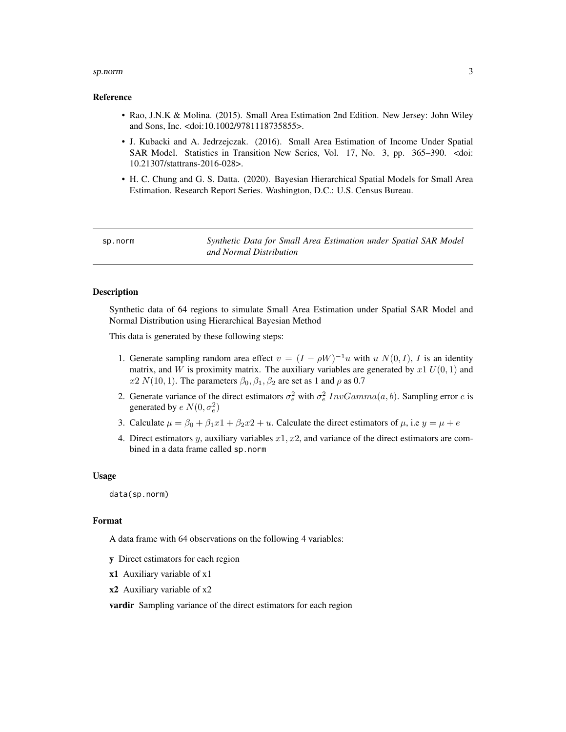#### <span id="page-2-0"></span>sp.norm 3

#### Reference

- Rao, J.N.K & Molina. (2015). Small Area Estimation 2nd Edition. New Jersey: John Wiley and Sons, Inc. <doi:10.1002/9781118735855>.
- J. Kubacki and A. Jedrzejczak. (2016). Small Area Estimation of Income Under Spatial SAR Model. Statistics in Transition New Series, Vol. 17, No. 3, pp. 365–390. <doi: 10.21307/stattrans-2016-028>.
- H. C. Chung and G. S. Datta. (2020). Bayesian Hierarchical Spatial Models for Small Area Estimation. Research Report Series. Washington, D.C.: U.S. Census Bureau.

sp.norm *Synthetic Data for Small Area Estimation under Spatial SAR Model and Normal Distribution*

#### Description

Synthetic data of 64 regions to simulate Small Area Estimation under Spatial SAR Model and Normal Distribution using Hierarchical Bayesian Method

This data is generated by these following steps:

- 1. Generate sampling random area effect  $v = (I \rho W)^{-1}u$  with u  $N(0, I)$ , I is an identity matrix, and W is proximity matrix. The auxiliary variables are generated by  $x1 U(0, 1)$  and  $x2 N(10, 1)$ . The parameters  $\beta_0, \beta_1, \beta_2$  are set as 1 and  $\rho$  as 0.7
- 2. Generate variance of the direct estimators  $\sigma_e^2$  with  $\sigma_e^2$   $InvGamma(a, b)$ . Sampling error e is generated by  $e \, N(0, \sigma_e^2)$
- 3. Calculate  $\mu = \beta_0 + \beta_1 x^2 + \beta_2 x^2 + u$ . Calculate the direct estimators of  $\mu$ , i.e  $y = \mu + e$
- 4. Direct estimators y, auxiliary variables  $x_1, x_2$ , and variance of the direct estimators are combined in a data frame called sp.norm

#### Usage

data(sp.norm)

#### Format

A data frame with 64 observations on the following 4 variables:

- y Direct estimators for each region
- x1 Auxiliary variable of x1
- x2 Auxiliary variable of x2

vardir Sampling variance of the direct estimators for each region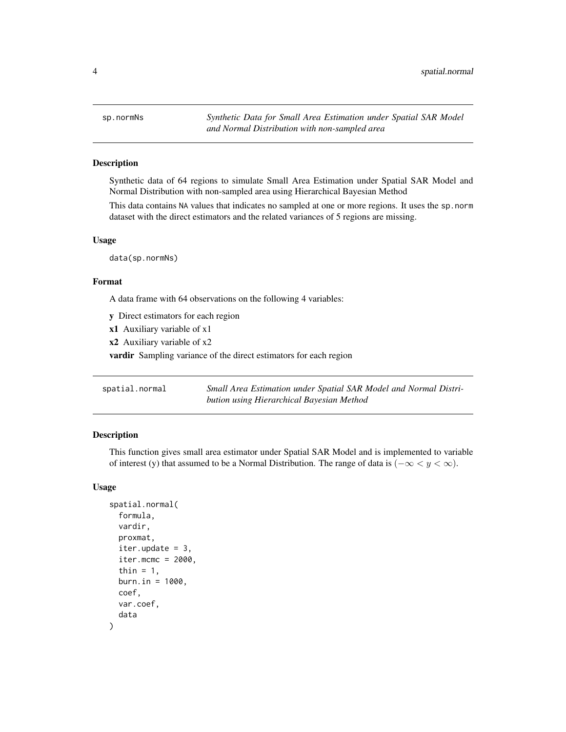<span id="page-3-0"></span>

#### **Description**

Synthetic data of 64 regions to simulate Small Area Estimation under Spatial SAR Model and Normal Distribution with non-sampled area using Hierarchical Bayesian Method

This data contains NA values that indicates no sampled at one or more regions. It uses the sp.norm dataset with the direct estimators and the related variances of 5 regions are missing.

#### Usage

data(sp.normNs)

#### Format

A data frame with 64 observations on the following 4 variables:

y Direct estimators for each region

x1 Auxiliary variable of x1

x2 Auxiliary variable of x2

vardir Sampling variance of the direct estimators for each region

<span id="page-3-1"></span>

| spatial.normal | Small Area Estimation under Spatial SAR Model and Normal Distri- |
|----------------|------------------------------------------------------------------|
|                | bution using Hierarchical Bayesian Method                        |

#### Description

This function gives small area estimator under Spatial SAR Model and is implemented to variable of interest (y) that assumed to be a Normal Distribution. The range of data is  $(-\infty < y < \infty)$ .

#### Usage

```
spatial.normal(
  formula,
  vardir,
 proxmat,
  iter.update = 3,
  iter.mcmc = 2000,thin = 1,
 burn.in = 1000,
  coef,
  var.coef,
  data
)
```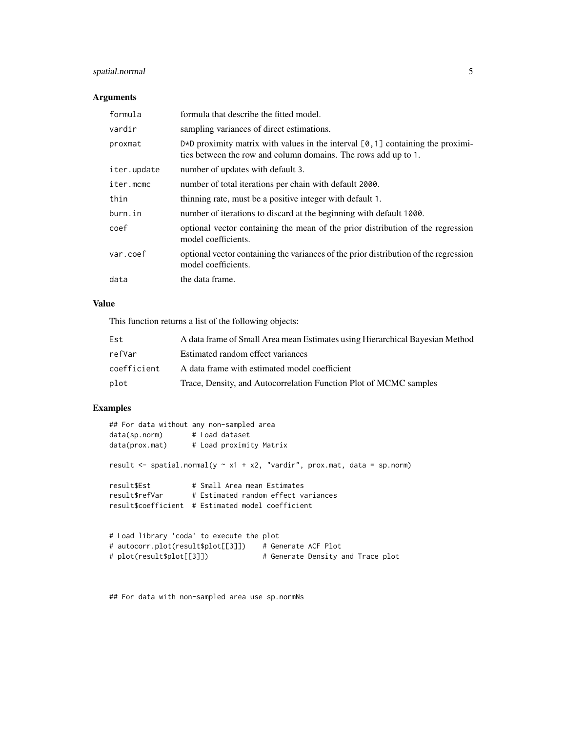#### spatial.normal 5

#### Arguments

| formula     | formula that describe the fitted model.                                                                                                                     |
|-------------|-------------------------------------------------------------------------------------------------------------------------------------------------------------|
| vardir      | sampling variances of direct estimations.                                                                                                                   |
| proxmat     | $D \star D$ proximity matrix with values in the interval $[0, 1]$ containing the proximi-<br>ties between the row and column domains. The rows add up to 1. |
| iter.update | number of updates with default 3.                                                                                                                           |
| iter.mcmc   | number of total iterations per chain with default 2000.                                                                                                     |
| thin        | thinning rate, must be a positive integer with default 1.                                                                                                   |
| burn.in     | number of iterations to discard at the beginning with default 1000.                                                                                         |
| coef        | optional vector containing the mean of the prior distribution of the regression<br>model coefficients.                                                      |
| var.coef    | optional vector containing the variances of the prior distribution of the regression<br>model coefficients.                                                 |
| data        | the data frame.                                                                                                                                             |

#### Value

This function returns a list of the following objects:

| Est         | A data frame of Small Area mean Estimates using Hierarchical Bayesian Method |
|-------------|------------------------------------------------------------------------------|
| refVar      | Estimated random effect variances                                            |
| coefficient | A data frame with estimated model coefficient                                |
| plot        | Trace, Density, and Autocorrelation Function Plot of MCMC samples            |

#### Examples

| ## For data without any non-sampled area                                          |                                     |                     |                                   |  |
|-----------------------------------------------------------------------------------|-------------------------------------|---------------------|-----------------------------------|--|
| data(sp.norm) # Load dataset                                                      |                                     |                     |                                   |  |
| $data(prox.math)$ # Load proximity Matrix                                         |                                     |                     |                                   |  |
| result $\le$ spatial.normal(y $\sim$ x1 + x2, "vardir", prox.mat, data = sp.norm) |                                     |                     |                                   |  |
| result\$Est                                                                       | # Small Area mean Estimates         |                     |                                   |  |
| result\$refVar                                                                    | # Estimated random effect variances |                     |                                   |  |
| result\$coefficient # Estimated model coefficient                                 |                                     |                     |                                   |  |
|                                                                                   |                                     |                     |                                   |  |
| # Load library 'coda' to execute the plot                                         |                                     |                     |                                   |  |
| # autocorr.plot(result\$plot[[3]])                                                |                                     | # Generate ACF Plot |                                   |  |
| # $plot(result$plot[5]$                                                           |                                     |                     | # Generate Density and Trace plot |  |

## For data with non-sampled area use sp.normNs